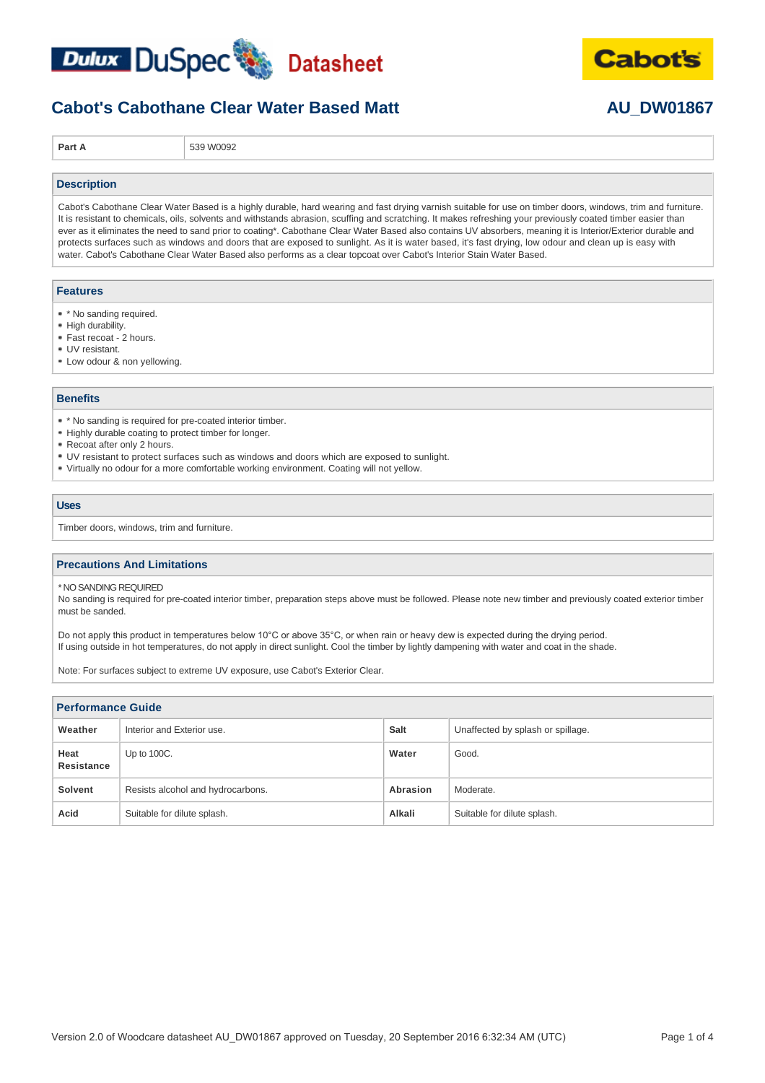



**Part A** 539 W0092

#### **Description**

Cabot's Cabothane Clear Water Based is a highly durable, hard wearing and fast drying varnish suitable for use on timber doors, windows, trim and furniture. It is resistant to chemicals, oils, solvents and withstands abrasion, scuffing and scratching. It makes refreshing your previously coated timber easier than ever as it eliminates the need to sand prior to coating\*. Cabothane Clear Water Based also contains UV absorbers, meaning it is Interior/Exterior durable and protects surfaces such as windows and doors that are exposed to sunlight. As it is water based, it's fast drying, low odour and clean up is easy with water. Cabot's Cabothane Clear Water Based also performs as a clear topcoat over Cabot's Interior Stain Water Based.

#### **Features**

- \* \* No sanding required.
- High durability.
- Fast recoat 2 hours.
- UV resistant.
- Low odour & non yellowing.

### **Benefits**

- \* No sanding is required for pre-coated interior timber.
- Highly durable coating to protect timber for longer.
- Recoat after only 2 hours.
- UV resistant to protect surfaces such as windows and doors which are exposed to sunlight.
- Virtually no odour for a more comfortable working environment. Coating will not yellow.

### **Uses**

Timber doors, windows, trim and furniture.

### **Precautions And Limitations**

\* NO SANDING REQUIRED

No sanding is required for pre-coated interior timber, preparation steps above must be followed. Please note new timber and previously coated exterior timber must be sanded.

Do not apply this product in temperatures below 10°C or above 35°C, or when rain or heavy dew is expected during the drying period. If using outside in hot temperatures, do not apply in direct sunlight. Cool the timber by lightly dampening with water and coat in the shade.

Note: For surfaces subject to extreme UV exposure, use Cabot's Exterior Clear.

| <b>Performance Guide</b>  |                                   |             |                                   |  |  |  |
|---------------------------|-----------------------------------|-------------|-----------------------------------|--|--|--|
| Weather                   | Interior and Exterior use.        | <b>Salt</b> | Unaffected by splash or spillage. |  |  |  |
| Heat<br><b>Resistance</b> | Up to 100C.                       | Water       | Good.                             |  |  |  |
| Solvent                   | Resists alcohol and hydrocarbons. | Abrasion    | Moderate.                         |  |  |  |
| Acid                      | Suitable for dilute splash.       | Alkali      | Suitable for dilute splash.       |  |  |  |

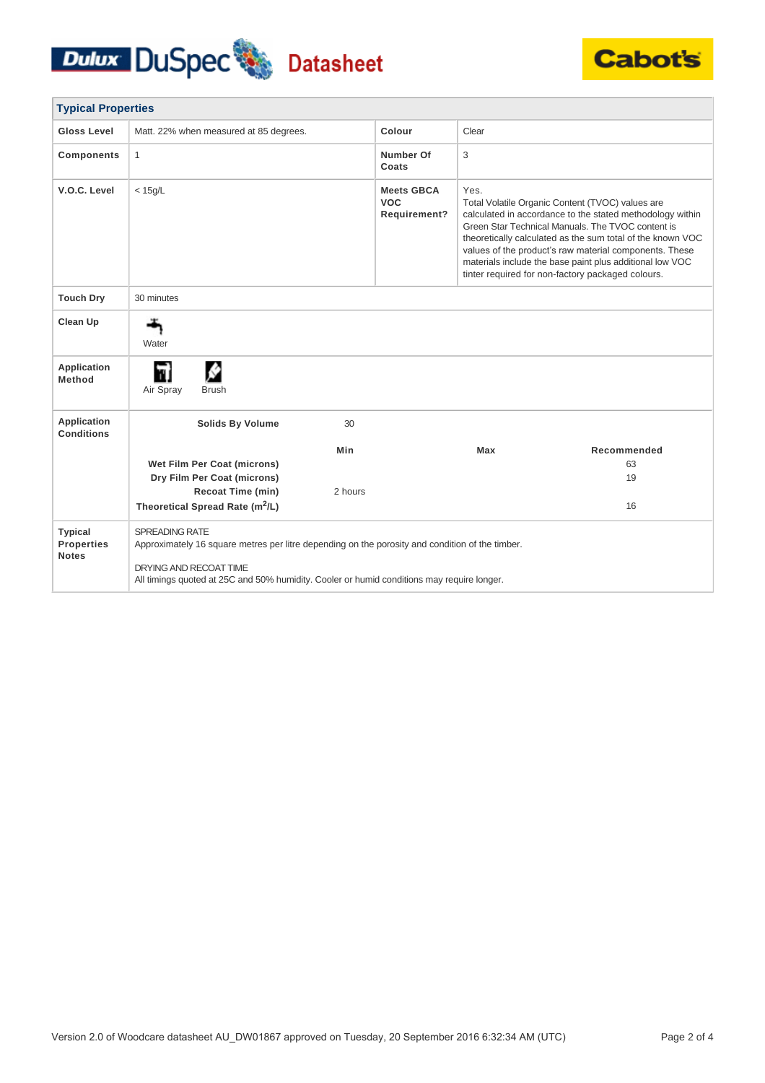# Dulux DuSpec Datasheet



| <b>Typical Properties</b>                           |                                                                                                                                                                                                                                           |         |                                                 |       |                                                                                                                                                                                                                                                                                                                                                                                                             |  |
|-----------------------------------------------------|-------------------------------------------------------------------------------------------------------------------------------------------------------------------------------------------------------------------------------------------|---------|-------------------------------------------------|-------|-------------------------------------------------------------------------------------------------------------------------------------------------------------------------------------------------------------------------------------------------------------------------------------------------------------------------------------------------------------------------------------------------------------|--|
| Gloss Level                                         | Matt. 22% when measured at 85 degrees.                                                                                                                                                                                                    |         | Colour                                          | Clear |                                                                                                                                                                                                                                                                                                                                                                                                             |  |
| <b>Components</b>                                   | 1                                                                                                                                                                                                                                         |         | Number Of<br>Coats                              | 3     |                                                                                                                                                                                                                                                                                                                                                                                                             |  |
| V.O.C. Level                                        | $<$ 15g/L                                                                                                                                                                                                                                 |         | <b>Meets GBCA</b><br><b>VOC</b><br>Requirement? | Yes.  | Total Volatile Organic Content (TVOC) values are<br>calculated in accordance to the stated methodology within<br>Green Star Technical Manuals. The TVOC content is<br>theoretically calculated as the sum total of the known VOC<br>values of the product's raw material components. These<br>materials include the base paint plus additional low VOC<br>tinter required for non-factory packaged colours. |  |
| <b>Touch Dry</b>                                    | 30 minutes                                                                                                                                                                                                                                |         |                                                 |       |                                                                                                                                                                                                                                                                                                                                                                                                             |  |
| Clean Up                                            | Water                                                                                                                                                                                                                                     |         |                                                 |       |                                                                                                                                                                                                                                                                                                                                                                                                             |  |
| Application<br>Method                               | M۱<br>Air Spray<br><b>Brush</b>                                                                                                                                                                                                           |         |                                                 |       |                                                                                                                                                                                                                                                                                                                                                                                                             |  |
| Application<br><b>Conditions</b>                    | <b>Solids By Volume</b>                                                                                                                                                                                                                   | 30      |                                                 |       |                                                                                                                                                                                                                                                                                                                                                                                                             |  |
|                                                     |                                                                                                                                                                                                                                           | Min     |                                                 | Max   | Recommended                                                                                                                                                                                                                                                                                                                                                                                                 |  |
|                                                     | Wet Film Per Coat (microns)<br>Dry Film Per Coat (microns)                                                                                                                                                                                |         |                                                 |       | 63<br>19                                                                                                                                                                                                                                                                                                                                                                                                    |  |
|                                                     | Recoat Time (min)                                                                                                                                                                                                                         | 2 hours |                                                 |       |                                                                                                                                                                                                                                                                                                                                                                                                             |  |
|                                                     | Theoretical Spread Rate (m <sup>2</sup> /L)                                                                                                                                                                                               |         |                                                 |       | 16                                                                                                                                                                                                                                                                                                                                                                                                          |  |
| <b>Typical</b><br><b>Properties</b><br><b>Notes</b> | SPREADING RATE<br>Approximately 16 square metres per litre depending on the porosity and condition of the timber.<br>DRYING AND RECOAT TIME<br>All timings quoted at 25C and 50% humidity. Cooler or humid conditions may require longer. |         |                                                 |       |                                                                                                                                                                                                                                                                                                                                                                                                             |  |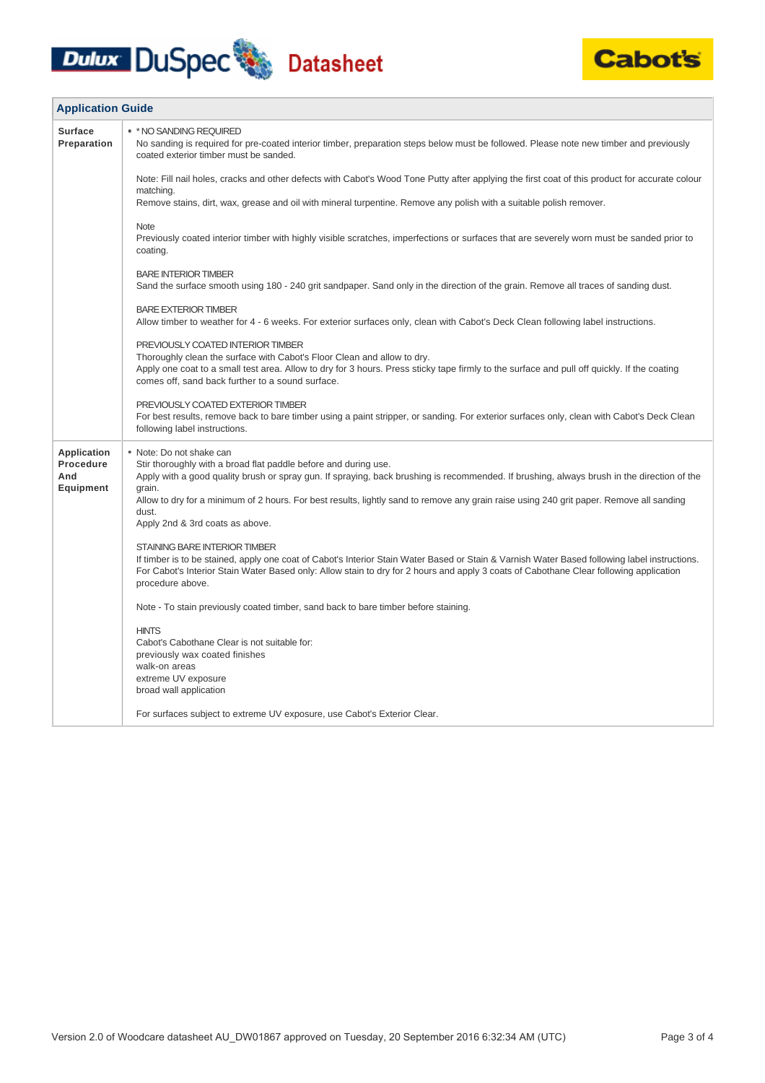# Dulux DuSpec Datasheet



| <b>Application Guide</b>                            |                                                                                                                                                                                                                                                                                                                                                                                                                                             |
|-----------------------------------------------------|---------------------------------------------------------------------------------------------------------------------------------------------------------------------------------------------------------------------------------------------------------------------------------------------------------------------------------------------------------------------------------------------------------------------------------------------|
| <b>Surface</b><br>Preparation                       | * * NO SANDING REQUIRED<br>No sanding is required for pre-coated interior timber, preparation steps below must be followed. Please note new timber and previously<br>coated exterior timber must be sanded.                                                                                                                                                                                                                                 |
|                                                     | Note: Fill nail holes, cracks and other defects with Cabot's Wood Tone Putty after applying the first coat of this product for accurate colour<br>matching.                                                                                                                                                                                                                                                                                 |
|                                                     | Remove stains, dirt, wax, grease and oil with mineral turpentine. Remove any polish with a suitable polish remover.                                                                                                                                                                                                                                                                                                                         |
|                                                     | <b>Note</b><br>Previously coated interior timber with highly visible scratches, imperfections or surfaces that are severely worn must be sanded prior to<br>coating.                                                                                                                                                                                                                                                                        |
|                                                     | <b>BARE INTERIOR TIMBER</b><br>Sand the surface smooth using 180 - 240 grit sandpaper. Sand only in the direction of the grain. Remove all traces of sanding dust.                                                                                                                                                                                                                                                                          |
|                                                     | <b>BARE EXTERIOR TIMBER</b><br>Allow timber to weather for 4 - 6 weeks. For exterior surfaces only, clean with Cabot's Deck Clean following label instructions.                                                                                                                                                                                                                                                                             |
|                                                     | PREVIOUSLY COATED INTERIOR TIMBER<br>Thoroughly clean the surface with Cabot's Floor Clean and allow to dry.<br>Apply one coat to a small test area. Allow to dry for 3 hours. Press sticky tape firmly to the surface and pull off quickly. If the coating<br>comes off, sand back further to a sound surface.                                                                                                                             |
|                                                     | PREVIOUSLY COATED EXTERIOR TIMBER<br>For best results, remove back to bare timber using a paint stripper, or sanding. For exterior surfaces only, clean with Cabot's Deck Clean<br>following label instructions.                                                                                                                                                                                                                            |
| Application<br>Procedure<br>And<br><b>Equipment</b> | • Note: Do not shake can<br>Stir thoroughly with a broad flat paddle before and during use.<br>Apply with a good quality brush or spray gun. If spraying, back brushing is recommended. If brushing, always brush in the direction of the<br>grain.<br>Allow to dry for a minimum of 2 hours. For best results, lightly sand to remove any grain raise using 240 grit paper. Remove all sanding<br>dust.<br>Apply 2nd & 3rd coats as above. |
|                                                     | STAINING BARE INTERIOR TIMBER<br>If timber is to be stained, apply one coat of Cabot's Interior Stain Water Based or Stain & Varnish Water Based following label instructions.<br>For Cabot's Interior Stain Water Based only: Allow stain to dry for 2 hours and apply 3 coats of Cabothane Clear following application<br>procedure above.                                                                                                |
|                                                     | Note - To stain previously coated timber, sand back to bare timber before staining.                                                                                                                                                                                                                                                                                                                                                         |
|                                                     | <b>HINTS</b><br>Cabot's Cabothane Clear is not suitable for:<br>previously wax coated finishes<br>walk-on areas<br>extreme UV exposure<br>broad wall application                                                                                                                                                                                                                                                                            |
|                                                     | For surfaces subject to extreme UV exposure, use Cabot's Exterior Clear.                                                                                                                                                                                                                                                                                                                                                                    |